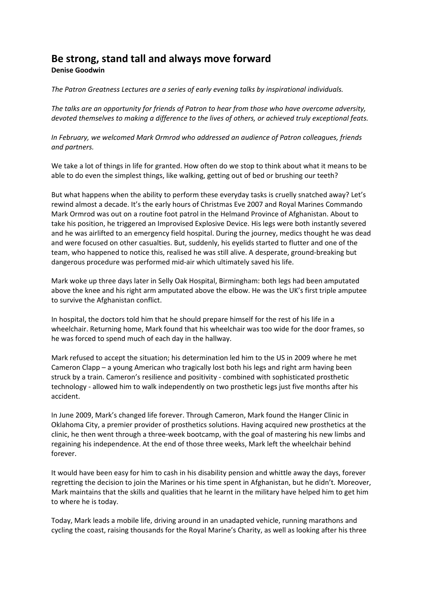## **Be strong, stand tall and always move forward**

## **Denise Goodwin**

*The Patron Greatness Lectures are a series of early evening talks by inspirational individuals.*

*The talks are an opportunity for friends of Patron to hear from those who have overcome adversity, devoted themselves to making a difference to the lives of others, or achieved truly exceptional feats.*

*In February, we welcomed Mark Ormrod who addressed an audience of Patron colleagues, friends and partners.*

We take a lot of things in life for granted. How often do we stop to think about what it means to be able to do even the simplest things, like walking, getting out of bed or brushing our teeth?

But what happens when the ability to perform these everyday tasks is cruelly snatched away? Let's rewind almost a decade. It's the early hours of Christmas Eve 2007 and Royal Marines Commando Mark Ormrod was out on a routine foot patrol in the Helmand Province of Afghanistan. About to take his position, he triggered an Improvised Explosive Device. His legs were both instantly severed and he was airlifted to an emergency field hospital. During the journey, medics thought he was dead and were focused on other casualties. But, suddenly, his eyelids started to flutter and one of the team, who happened to notice this, realised he was still alive. A desperate, ground‐breaking but dangerous procedure was performed mid‐air which ultimately saved his life.

Mark woke up three days later in Selly Oak Hospital, Birmingham: both legs had been amputated above the knee and his right arm amputated above the elbow. He was the UK's first triple amputee to survive the Afghanistan conflict.

In hospital, the doctors told him that he should prepare himself for the rest of his life in a wheelchair. Returning home, Mark found that his wheelchair was too wide for the door frames, so he was forced to spend much of each day in the hallway.

Mark refused to accept the situation; his determination led him to the US in 2009 where he met Cameron Clapp – a young American who tragically lost both his legs and right arm having been struck by a train. Cameron's resilience and positivity - combined with sophisticated prosthetic technology ‐ allowed him to walk independently on two prosthetic legs just five months after his accident.

In June 2009, Mark's changed life forever. Through Cameron, Mark found the Hanger Clinic in Oklahoma City, a premier provider of prosthetics solutions. Having acquired new prosthetics at the clinic, he then went through a three‐week bootcamp, with the goal of mastering his new limbs and regaining his independence. At the end of those three weeks, Mark left the wheelchair behind forever.

It would have been easy for him to cash in his disability pension and whittle away the days, forever regretting the decision to join the Marines or his time spent in Afghanistan, but he didn't. Moreover, Mark maintains that the skills and qualities that he learnt in the military have helped him to get him to where he is today.

Today, Mark leads a mobile life, driving around in an unadapted vehicle, running marathons and cycling the coast, raising thousands for the Royal Marine's Charity, as well as looking after his three